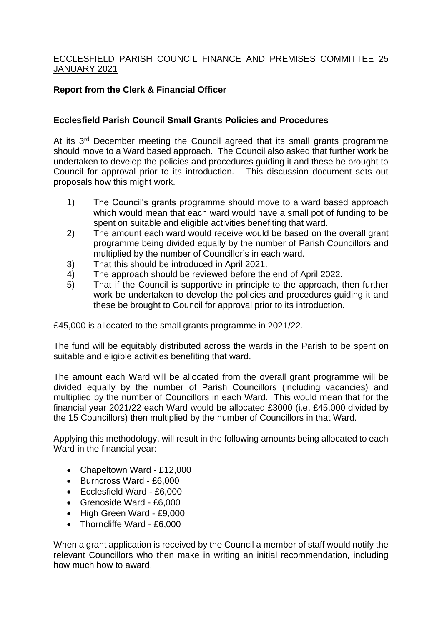## ECCLESFIELD PARISH COUNCIL FINANCE AND PREMISES COMMITTEE 25 JANUARY 2021

## **Report from the Clerk & Financial Officer**

## **Ecclesfield Parish Council Small Grants Policies and Procedures**

At its 3<sup>rd</sup> December meeting the Council agreed that its small grants programme should move to a Ward based approach. The Council also asked that further work be undertaken to develop the policies and procedures guiding it and these be brought to Council for approval prior to its introduction. This discussion document sets out proposals how this might work.

- 1) The Council's grants programme should move to a ward based approach which would mean that each ward would have a small pot of funding to be spent on suitable and eligible activities benefiting that ward.
- 2) The amount each ward would receive would be based on the overall grant programme being divided equally by the number of Parish Councillors and multiplied by the number of Councillor's in each ward.
- 3) That this should be introduced in April 2021.
- 4) The approach should be reviewed before the end of April 2022.
- 5) That if the Council is supportive in principle to the approach, then further work be undertaken to develop the policies and procedures guiding it and these be brought to Council for approval prior to its introduction.

£45,000 is allocated to the small grants programme in 2021/22.

The fund will be equitably distributed across the wards in the Parish to be spent on suitable and eligible activities benefiting that ward.

The amount each Ward will be allocated from the overall grant programme will be divided equally by the number of Parish Councillors (including vacancies) and multiplied by the number of Councillors in each Ward. This would mean that for the financial year 2021/22 each Ward would be allocated £3000 (i.e. £45,000 divided by the 15 Councillors) then multiplied by the number of Councillors in that Ward.

Applying this methodology, will result in the following amounts being allocated to each Ward in the financial year:

- Chapeltown Ward £12,000
- Burncross Ward £6,000
- Ecclesfield Ward £6,000
- Grenoside Ward £6,000
- High Green Ward £9,000
- Thorncliffe Ward £6,000

When a grant application is received by the Council a member of staff would notify the relevant Councillors who then make in writing an initial recommendation, including how much how to award.